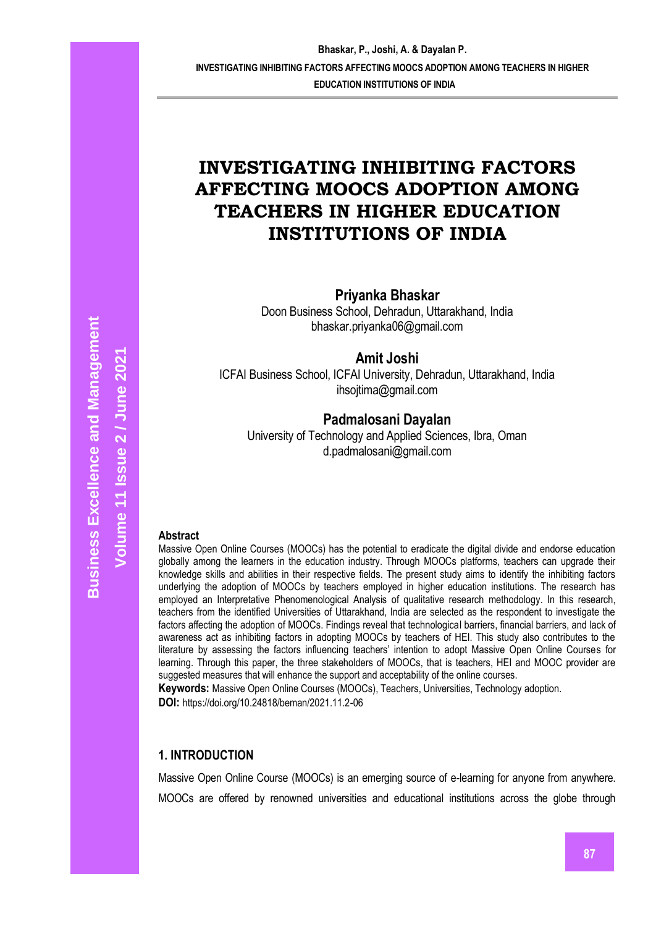# **INVESTIGATING INHIBITING FACTORS AFFECTING MOOCS ADOPTION AMONG TEACHERS IN HIGHER EDUCATION INSTITUTIONS OF INDIA**

**Priyanka Bhaskar**

Doon Business School, Dehradun, Uttarakhand, India bhaskar.priyanka06@gmail.com

**Amit Joshi**

ICFAI Business School, ICFAI University, Dehradun, Uttarakhand, India ihsojtima@gmail.com

## **Padmalosani Dayalan**

University of Technology and Applied Sciences, Ibra, Oman d.padmalosani@gmail.com

## **Abstract**

Massive Open Online Courses (MOOCs) has the potential to eradicate the digital divide and endorse education globally among the learners in the education industry. Through MOOCs platforms, teachers can upgrade their knowledge skills and abilities in their respective fields. The present study aims to identify the inhibiting factors underlying the adoption of MOOCs by teachers employed in higher education institutions. The research has employed an Interpretative Phenomenological Analysis of qualitative research methodology. In this research, teachers from the identified Universities of Uttarakhand, India are selected as the respondent to investigate the factors affecting the adoption of MOOCs. Findings reveal that technological barriers, financial barriers, and lack of awareness act as inhibiting factors in adopting MOOCs by teachers of HEI. This study also contributes to the literature by assessing the factors influencing teachers' intention to adopt Massive Open Online Courses for learning. Through this paper, the three stakeholders of MOOCs, that is teachers, HEI and MOOC provider are suggested measures that will enhance the support and acceptability of the online courses.

**Keywords:** Massive Open Online Courses (MOOCs), Teachers, Universities, Technology adoption.

**DOI:** https://doi.org/10.24818/beman/2021.11.2-06

## **1. INTRODUCTION**

Massive Open Online Course (MOOCs) is an emerging source of e-learning for anyone from anywhere. MOOCs are offered by renowned universities and educational institutions across the globe through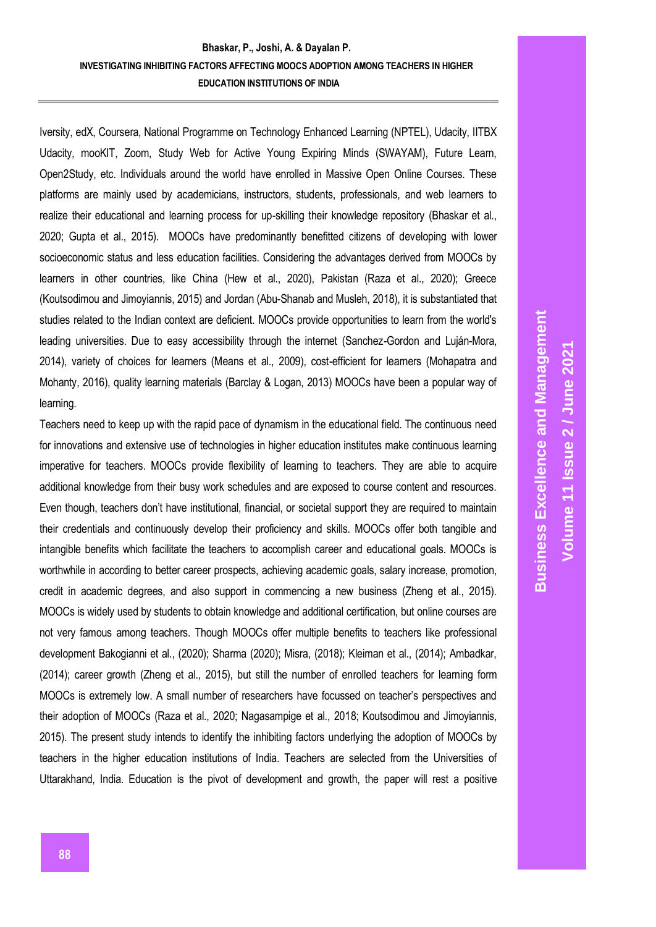Iversity, edX, Coursera, National Programme on Technology Enhanced Learning (NPTEL), Udacity, IITBX Udacity, mooKIT, Zoom, Study Web for Active Young Expiring Minds (SWAYAM), Future Learn, Open2Study, etc. Individuals around the world have enrolled in Massive Open Online Courses. These platforms are mainly used by academicians, instructors, students, professionals, and web learners to realize their educational and learning process for up-skilling their knowledge repository (Bhaskar et al., 2020; Gupta et al., 2015). MOOCs have predominantly benefitted citizens of developing with lower socioeconomic status and less education facilities. Considering the advantages derived from MOOCs by learners in other countries, like China (Hew et al., 2020), Pakistan (Raza et al., 2020); Greece (Koutsodimou and Jimoyiannis, 2015) and Jordan (Abu-Shanab and Musleh, 2018), it is substantiated that studies related to the Indian context are deficient. MOOCs provide opportunities to learn from the world's leading universities. Due to easy accessibility through the internet (Sanchez-Gordon and Luján-Mora, 2014), variety of choices for learners (Means et al., 2009), cost-efficient for learners (Mohapatra and Mohanty, 2016), quality learning materials (Barclay & Logan, 2013) MOOCs have been a popular way of learning.

Teachers need to keep up with the rapid pace of dynamism in the educational field. The continuous need for innovations and extensive use of technologies in higher education institutes make continuous learning imperative for teachers. MOOCs provide flexibility of learning to teachers. They are able to acquire additional knowledge from their busy work schedules and are exposed to course content and resources. Even though, teachers don't have institutional, financial, or societal support they are required to maintain their credentials and continuously develop their proficiency and skills. MOOCs offer both tangible and intangible benefits which facilitate the teachers to accomplish career and educational goals. MOOCs is worthwhile in according to better career prospects, achieving academic goals, salary increase, promotion, credit in academic degrees, and also support in commencing a new business (Zheng et al., 2015). MOOCs is widely used by students to obtain knowledge and additional certification, but online courses are not very famous among teachers. Though MOOCs offer multiple benefits to teachers like professional development Bakogianni et al., (2020); Sharma (2020); Misra, (2018); Kleiman et al., (2014); Ambadkar, (2014); career growth (Zheng et al., 2015), but still the number of enrolled teachers for learning form MOOCs is extremely low. A small number of researchers have focussed on teacher's perspectives and their adoption of MOOCs (Raza et al., 2020; Nagasampige et al., 2018; Koutsodimou and Jimoyiannis, 2015). The present study intends to identify the inhibiting factors underlying the adoption of MOOCs by teachers in the higher education institutions of India. Teachers are selected from the Universities of Uttarakhand, India. Education is the pivot of development and growth, the paper will rest a positive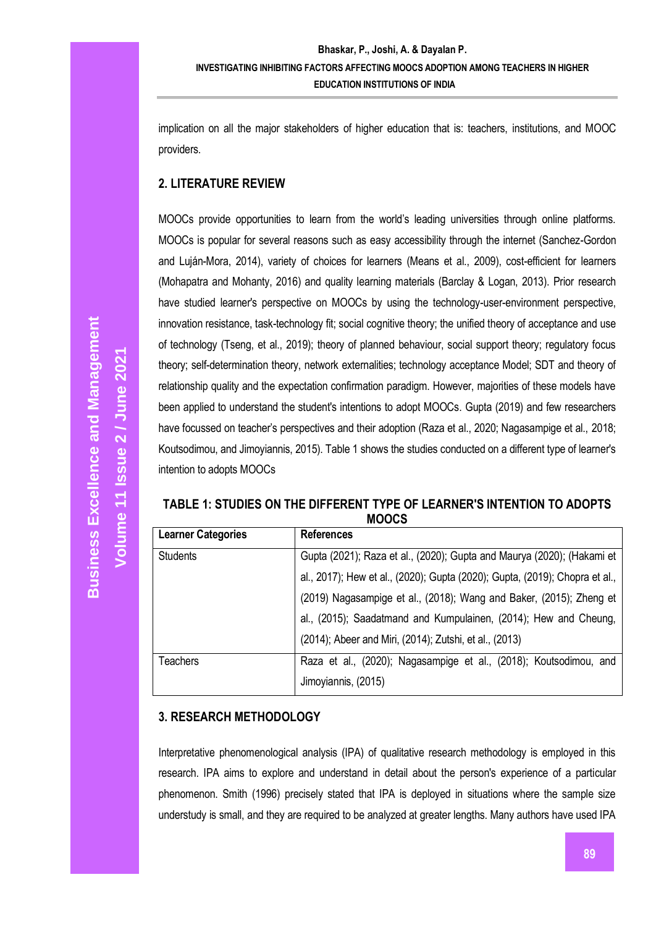implication on all the major stakeholders of higher education that is: teachers, institutions, and MOOC providers.

## **2. LITERATURE REVIEW**

MOOCs provide opportunities to learn from the world's leading universities through online platforms. MOOCs is popular for several reasons such as easy accessibility through the internet (Sanchez-Gordon and Luján-Mora, 2014), variety of choices for learners (Means et al., 2009), cost-efficient for learners (Mohapatra and Mohanty, 2016) and quality learning materials (Barclay & Logan, 2013). Prior research have studied learner's perspective on MOOCs by using the technology-user-environment perspective, innovation resistance, task-technology fit; social cognitive theory; the unified theory of acceptance and use of technology (Tseng, et al., 2019); theory of planned behaviour, social support theory; regulatory focus theory; self-determination theory, network externalities; technology acceptance Model; SDT and theory of relationship quality and the expectation confirmation paradigm. However, majorities of these models have been applied to understand the student's intentions to adopt MOOCs. Gupta (2019) and few researchers have focussed on teacher's perspectives and their adoption (Raza et al., 2020; Nagasampige et al., 2018; Koutsodimou, and Jimoyiannis, 2015). Table 1 shows the studies conducted on a different type of learner's intention to adopts MOOCs

#### **TABLE 1: STUDIES ON THE DIFFERENT TYPE OF LEARNER'S INTENTION TO ADOPTS MOOCS**

| <b>Learner Categories</b> | <b>References</b>                                                           |
|---------------------------|-----------------------------------------------------------------------------|
| <b>Students</b>           | Gupta (2021); Raza et al., (2020); Gupta and Maurya (2020); (Hakami et      |
|                           | al., 2017); Hew et al., (2020); Gupta (2020); Gupta, (2019); Chopra et al., |
|                           | (2019) Nagasampige et al., (2018); Wang and Baker, (2015); Zheng et         |
|                           | al., (2015); Saadatmand and Kumpulainen, (2014); Hew and Cheung,            |
|                           | (2014); Abeer and Miri, (2014); Zutshi, et al., (2013)                      |
| Teachers                  | Raza et al., (2020); Nagasampige et al., (2018); Koutsodimou, and           |
|                           | Jimoyiannis, (2015)                                                         |

# **3. RESEARCH METHODOLOGY**

Interpretative phenomenological analysis (IPA) of qualitative research methodology is employed in this research. IPA aims to explore and understand in detail about the person's experience of a particular phenomenon. Smith (1996) precisely stated that IPA is deployed in situations where the sample size understudy is small, and they are required to be analyzed at greater lengths. Many authors have used IPA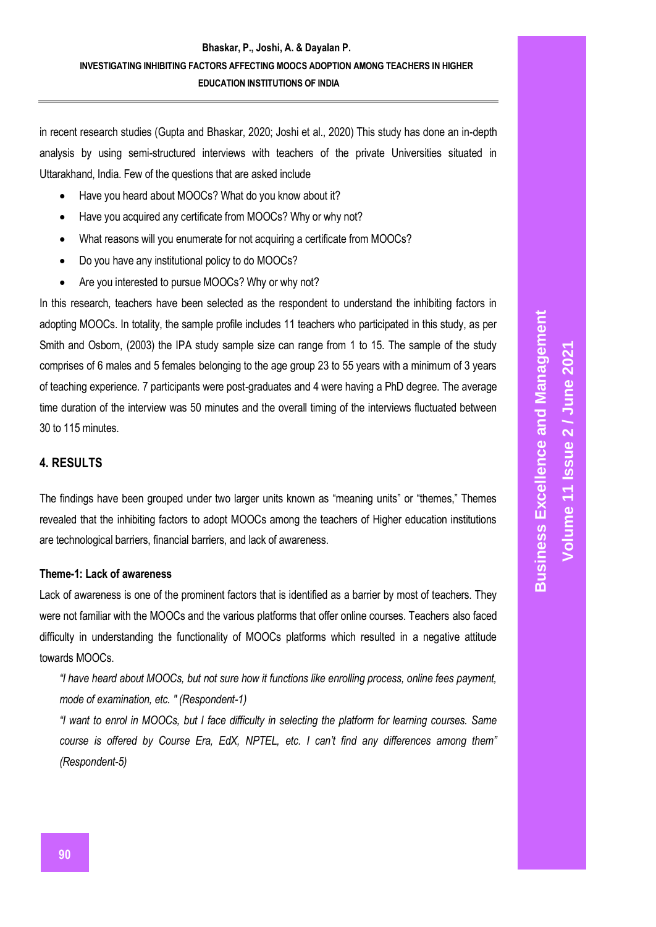in recent research studies (Gupta and Bhaskar, 2020; Joshi et al., 2020) This study has done an in-depth analysis by using semi-structured interviews with teachers of the private Universities situated in Uttarakhand, India. Few of the questions that are asked include

- Have you heard about MOOCs? What do you know about it?
- Have you acquired any certificate from MOOCs? Why or why not?
- What reasons will you enumerate for not acquiring a certificate from MOOCs?
- Do you have any institutional policy to do MOOCs?
- Are you interested to pursue MOOCs? Why or why not?

In this research, teachers have been selected as the respondent to understand the inhibiting factors in adopting MOOCs. In totality, the sample profile includes 11 teachers who participated in this study, as per Smith and Osborn, (2003) the IPA study sample size can range from 1 to 15. The sample of the study comprises of 6 males and 5 females belonging to the age group 23 to 55 years with a minimum of 3 years of teaching experience. 7 participants were post-graduates and 4 were having a PhD degree. The average time duration of the interview was 50 minutes and the overall timing of the interviews fluctuated between 30 to 115 minutes.

## **4. RESULTS**

The findings have been grouped under two larger units known as "meaning units" or "themes," Themes revealed that the inhibiting factors to adopt MOOCs among the teachers of Higher education institutions are technological barriers, financial barriers, and lack of awareness.

## **Theme-1: Lack of awareness**

Lack of awareness is one of the prominent factors that is identified as a barrier by most of teachers. They were not familiar with the MOOCs and the various platforms that offer online courses. Teachers also faced difficulty in understanding the functionality of MOOCs platforms which resulted in a negative attitude towards MOOCs.

*"I have heard about MOOCs, but not sure how it functions like enrolling process, online fees payment, mode of examination, etc. " (Respondent-1)*

*"I want to enrol in MOOCs, but I face difficulty in selecting the platform for learning courses. Same course is offered by Course Era, EdX, NPTEL, etc. I can't find any differences among them" (Respondent-5)*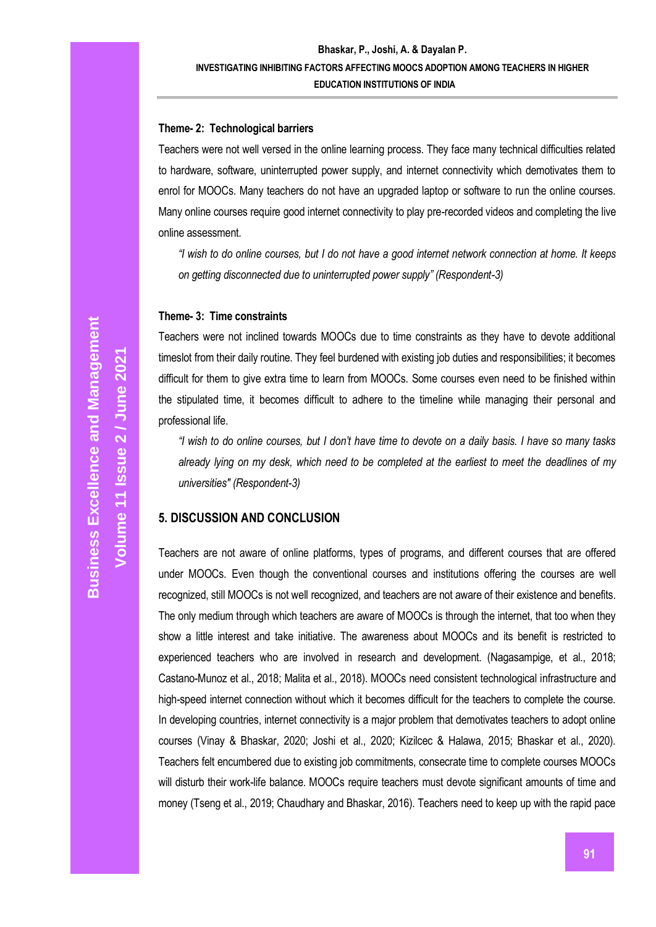## **Theme- 2: Technological barriers**

Teachers were not well versed in the online learning process. They face many technical difficulties related to hardware, software, uninterrupted power supply, and internet connectivity which demotivates them to enrol for MOOCs. Many teachers do not have an upgraded laptop or software to run the online courses. Many online courses require good internet connectivity to play pre-recorded videos and completing the live online assessment.

*"I wish to do online courses, but I do not have a good internet network connection at home. It keeps on getting disconnected due to uninterrupted power supply" (Respondent-3)*

#### **Theme- 3: Time constraints**

Teachers were not inclined towards MOOCs due to time constraints as they have to devote additional timeslot from their daily routine. They feel burdened with existing job duties and responsibilities; it becomes difficult for them to give extra time to learn from MOOCs. Some courses even need to be finished within the stipulated time, it becomes difficult to adhere to the timeline while managing their personal and professional life.

*"I wish to do online courses, but I don't have time to devote on a daily basis. I have so many tasks already lying on my desk, which need to be completed at the earliest to meet the deadlines of my universities" (Respondent-3)*

## **5. DISCUSSION AND CONCLUSION**

Teachers are not aware of online platforms, types of programs, and different courses that are offered under MOOCs. Even though the conventional courses and institutions offering the courses are well recognized, still MOOCs is not well recognized, and teachers are not aware of their existence and benefits. The only medium through which teachers are aware of MOOCs is through the internet, that too when they show a little interest and take initiative. The awareness about MOOCs and its benefit is restricted to experienced teachers who are involved in research and development. (Nagasampige, et al., 2018; Castano-Munoz et al., 2018; Malita et al., 2018). MOOCs need consistent technological infrastructure and high-speed internet connection without which it becomes difficult for the teachers to complete the course. In developing countries, internet connectivity is a major problem that demotivates teachers to adopt online courses (Vinay & Bhaskar, 2020; Joshi et al., 2020; Kizilcec & Halawa, 2015; Bhaskar et al., 2020). Teachers felt encumbered due to existing job commitments, consecrate time to complete courses MOOCs will disturb their work-life balance. MOOCs require teachers must devote significant amounts of time and money (Tseng et al., 2019; Chaudhary and Bhaskar, 2016). Teachers need to keep up with the rapid pace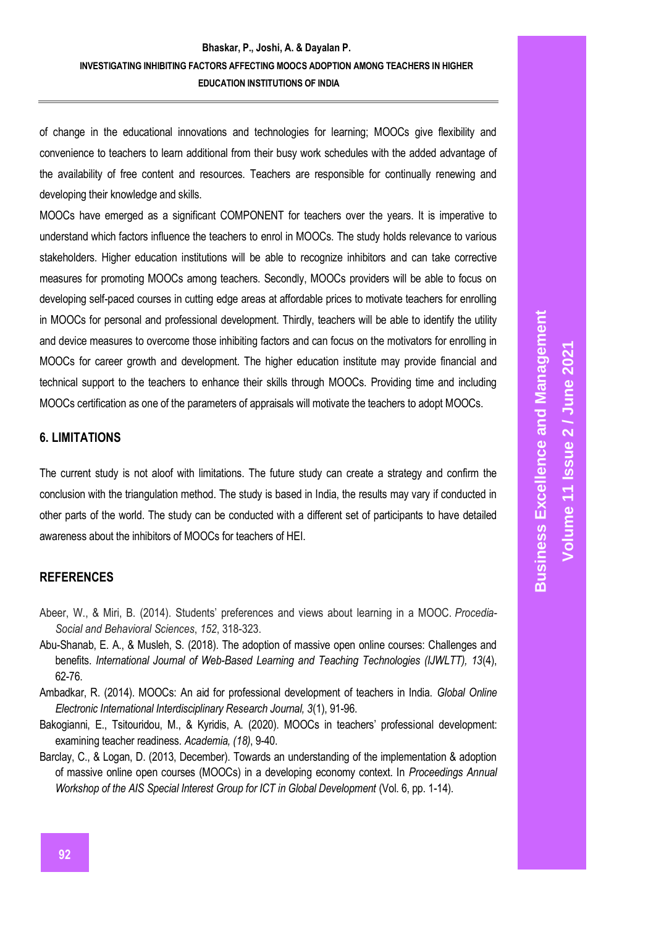of change in the educational innovations and technologies for learning; MOOCs give flexibility and convenience to teachers to learn additional from their busy work schedules with the added advantage of the availability of free content and resources. Teachers are responsible for continually renewing and developing their knowledge and skills.

MOOCs have emerged as a significant COMPONENT for teachers over the years. It is imperative to understand which factors influence the teachers to enrol in MOOCs. The study holds relevance to various stakeholders. Higher education institutions will be able to recognize inhibitors and can take corrective measures for promoting MOOCs among teachers. Secondly, MOOCs providers will be able to focus on developing self-paced courses in cutting edge areas at affordable prices to motivate teachers for enrolling in MOOCs for personal and professional development. Thirdly, teachers will be able to identify the utility and device measures to overcome those inhibiting factors and can focus on the motivators for enrolling in MOOCs for career growth and development. The higher education institute may provide financial and technical support to the teachers to enhance their skills through MOOCs. Providing time and including MOOCs certification as one of the parameters of appraisals will motivate the teachers to adopt MOOCs.

## **6. LIMITATIONS**

The current study is not aloof with limitations. The future study can create a strategy and confirm the conclusion with the triangulation method. The study is based in India, the results may vary if conducted in other parts of the world. The study can be conducted with a different set of participants to have detailed awareness about the inhibitors of MOOCs for teachers of HEI.

# **REFERENCES**

- Abeer, W., & Miri, B. (2014). Students' preferences and views about learning in a MOOC. *Procedia-Social and Behavioral Sciences*, *152*, 318-323.
- Abu-Shanab, E. A., & Musleh, S. (2018). The adoption of massive open online courses: Challenges and benefits. *International Journal of Web-Based Learning and Teaching Technologies (IJWLTT), 13*(4), 62-76.
- Ambadkar, R. (2014). MOOCs: An aid for professional development of teachers in India. *Global Online Electronic International Interdisciplinary Research Journal, 3*(1), 91-96.
- Bakogianni, E., Tsitouridou, M., & Kyridis, A. (2020). MOOCs in teachers' professional development: examining teacher readiness. *Academia, (18)*, 9-40.
- Barclay, C., & Logan, D. (2013, December). Towards an understanding of the implementation & adoption of massive online open courses (MOOCs) in a developing economy context. In *Proceedings Annual Workshop of the AIS Special Interest Group for ICT in Global Development* (Vol. 6, pp. 1-14).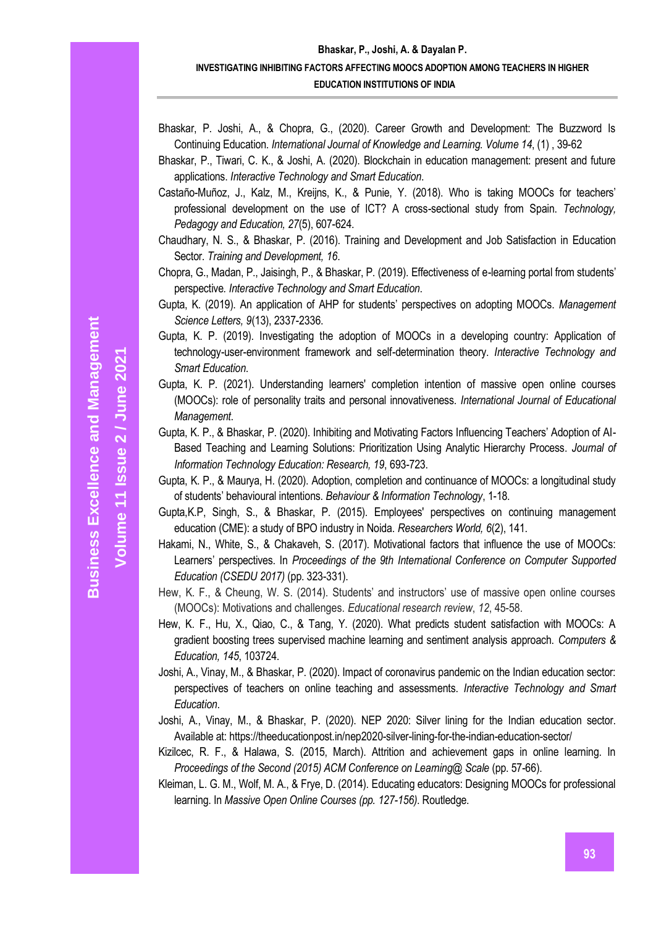- Bhaskar, P. Joshi, A., & Chopra, G., (2020). Career Growth and Development: The Buzzword Is Continuing Education. *International Journal of Knowledge and Learning. Volume 14*, (1) , 39-62
- Bhaskar, P., Tiwari, C. K., & Joshi, A. (2020). Blockchain in education management: present and future applications. *Interactive Technology and Smart Education*.
- Castaño-Muñoz, J., Kalz, M., Kreijns, K., & Punie, Y. (2018). Who is taking MOOCs for teachers' professional development on the use of ICT? A cross-sectional study from Spain. *Technology, Pedagogy and Education, 27*(5), 607-624.
- Chaudhary, N. S., & Bhaskar, P. (2016). Training and Development and Job Satisfaction in Education Sector. *Training and Development, 16*.
- Chopra, G., Madan, P., Jaisingh, P., & Bhaskar, P. (2019). Effectiveness of e-learning portal from students' perspective*. Interactive Technology and Smart Education*.
- Gupta, K. (2019). An application of AHP for students' perspectives on adopting MOOCs. *Management Science Letters, 9*(13), 2337-2336.
- Gupta, K. P. (2019). Investigating the adoption of MOOCs in a developing country: Application of technology-user-environment framework and self-determination theory. *Interactive Technology and Smart Education*.
- Gupta, K. P. (2021). Understanding learners' completion intention of massive open online courses (MOOCs): role of personality traits and personal innovativeness. *International Journal of Educational Management*.
- Gupta, K. P., & Bhaskar, P. (2020). Inhibiting and Motivating Factors Influencing Teachers' Adoption of AI-Based Teaching and Learning Solutions: Prioritization Using Analytic Hierarchy Process. *Journal of Information Technology Education: Research, 19*, 693-723.
- Gupta, K. P., & Maurya, H. (2020). Adoption, completion and continuance of MOOCs: a longitudinal study of students' behavioural intentions. *Behaviour & Information Technology*, 1-18.
- Gupta,K.P, Singh, S., & Bhaskar, P. (2015). Employees' perspectives on continuing management education (CME): a study of BPO industry in Noida. *Researchers World, 6*(2), 141.
- Hakami, N., White, S., & Chakaveh, S. (2017). Motivational factors that influence the use of MOOCs: Learners' perspectives. In *Proceedings of the 9th International Conference on Computer Supported Education (CSEDU 2017)* (pp. 323-331).
- Hew, K. F., & Cheung, W. S. (2014). Students' and instructors' use of massive open online courses (MOOCs): Motivations and challenges. *Educational research review*, *12*, 45-58.
- Hew, K. F., Hu, X., Qiao, C., & Tang, Y. (2020). What predicts student satisfaction with MOOCs: A gradient boosting trees supervised machine learning and sentiment analysis approach. *Computers & Education, 145*, 103724.
- Joshi, A., Vinay, M., & Bhaskar, P. (2020). Impact of coronavirus pandemic on the Indian education sector: perspectives of teachers on online teaching and assessments. *Interactive Technology and Smart Education*.
- Joshi, A., Vinay, M., & Bhaskar, P. (2020). NEP 2020: Silver lining for the Indian education sector. Available at: https://theeducationpost.in/nep2020-silver-lining-for-the-indian-education-sector/
- Kizilcec, R. F., & Halawa, S. (2015, March). Attrition and achievement gaps in online learning. In *Proceedings of the Second (2015) ACM Conference on Learning@ Scale* (pp. 57-66).
- Kleiman, L. G. M., Wolf, M. A., & Frye, D. (2014). Educating educators: Designing MOOCs for professional learning. In *Massive Open Online Courses (pp. 127-156)*. Routledge.